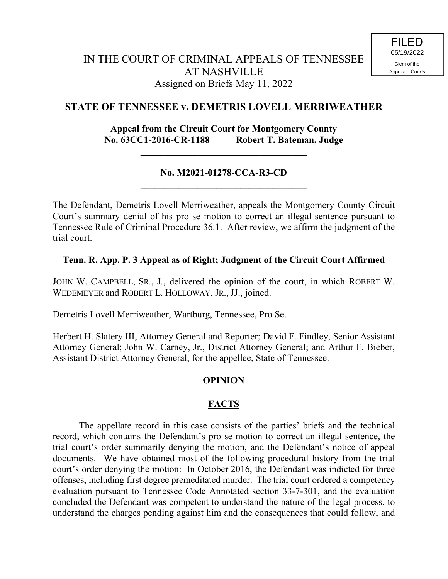## **STATE OF TENNESSEE v. DEMETRIS LOVELL MERRIWEATHER**

### **Appeal from the Circuit Court for Montgomery County No. 63CC1-2016-CR-1188 Robert T. Bateman, Judge**

**\_\_\_\_\_\_\_\_\_\_\_\_\_\_\_\_\_\_\_\_\_\_\_\_\_\_\_\_\_\_\_\_\_\_\_**

#### **No. M2021-01278-CCA-R3-CD \_\_\_\_\_\_\_\_\_\_\_\_\_\_\_\_\_\_\_\_\_\_\_\_\_\_\_\_\_\_\_\_\_\_\_**

The Defendant, Demetris Lovell Merriweather, appeals the Montgomery County Circuit Court's summary denial of his pro se motion to correct an illegal sentence pursuant to Tennessee Rule of Criminal Procedure 36.1. After review, we affirm the judgment of the trial court.

#### **Tenn. R. App. P. 3 Appeal as of Right; Judgment of the Circuit Court Affirmed**

JOHN W. CAMPBELL, SR., J., delivered the opinion of the court, in which ROBERT W. WEDEMEYER and ROBERT L. HOLLOWAY, JR., JJ., joined.

Demetris Lovell Merriweather, Wartburg, Tennessee, Pro Se.

Herbert H. Slatery III, Attorney General and Reporter; David F. Findley, Senior Assistant Attorney General; John W. Carney, Jr., District Attorney General; and Arthur F. Bieber, Assistant District Attorney General, for the appellee, State of Tennessee.

#### **OPINION**

#### **FACTS**

The appellate record in this case consists of the parties' briefs and the technical record, which contains the Defendant's pro se motion to correct an illegal sentence, the trial court's order summarily denying the motion, and the Defendant's notice of appeal documents. We have obtained most of the following procedural history from the trial court's order denying the motion: In October 2016, the Defendant was indicted for three offenses, including first degree premeditated murder. The trial court ordered a competency evaluation pursuant to Tennessee Code Annotated section 33-7-301, and the evaluation concluded the Defendant was competent to understand the nature of the legal process, to understand the charges pending against him and the consequences that could follow, and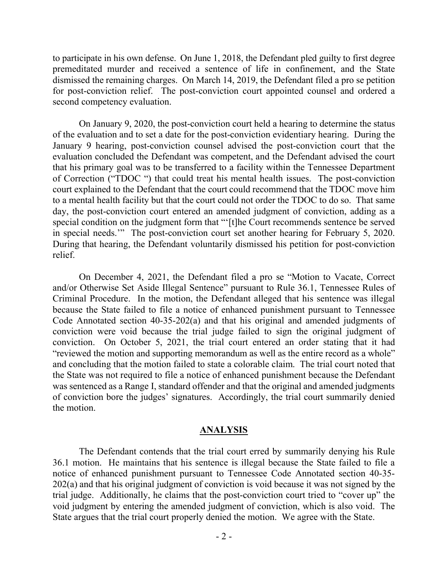to participate in his own defense. On June 1, 2018, the Defendant pled guilty to first degree premeditated murder and received a sentence of life in confinement, and the State dismissed the remaining charges. On March 14, 2019, the Defendant filed a pro se petition for post-conviction relief. The post-conviction court appointed counsel and ordered a second competency evaluation.

On January 9, 2020, the post-conviction court held a hearing to determine the status of the evaluation and to set a date for the post-conviction evidentiary hearing. During the January 9 hearing, post-conviction counsel advised the post-conviction court that the evaluation concluded the Defendant was competent, and the Defendant advised the court that his primary goal was to be transferred to a facility within the Tennessee Department of Correction ("TDOC ") that could treat his mental health issues. The post-conviction court explained to the Defendant that the court could recommend that the TDOC move him to a mental health facility but that the court could not order the TDOC to do so. That same day, the post-conviction court entered an amended judgment of conviction, adding as a special condition on the judgment form that "'[t]he Court recommends sentence be served in special needs.'" The post-conviction court set another hearing for February 5, 2020. During that hearing, the Defendant voluntarily dismissed his petition for post-conviction relief.

On December 4, 2021, the Defendant filed a pro se "Motion to Vacate, Correct and/or Otherwise Set Aside Illegal Sentence" pursuant to Rule 36.1, Tennessee Rules of Criminal Procedure. In the motion, the Defendant alleged that his sentence was illegal because the State failed to file a notice of enhanced punishment pursuant to Tennessee Code Annotated section 40-35-202(a) and that his original and amended judgments of conviction were void because the trial judge failed to sign the original judgment of conviction. On October 5, 2021, the trial court entered an order stating that it had "reviewed the motion and supporting memorandum as well as the entire record as a whole" and concluding that the motion failed to state a colorable claim. The trial court noted that the State was not required to file a notice of enhanced punishment because the Defendant was sentenced as a Range I, standard offender and that the original and amended judgments of conviction bore the judges' signatures. Accordingly, the trial court summarily denied the motion.

#### **ANALYSIS**

The Defendant contends that the trial court erred by summarily denying his Rule 36.1 motion. He maintains that his sentence is illegal because the State failed to file a notice of enhanced punishment pursuant to Tennessee Code Annotated section 40-35- 202(a) and that his original judgment of conviction is void because it was not signed by the trial judge. Additionally, he claims that the post-conviction court tried to "cover up" the void judgment by entering the amended judgment of conviction, which is also void. The State argues that the trial court properly denied the motion. We agree with the State.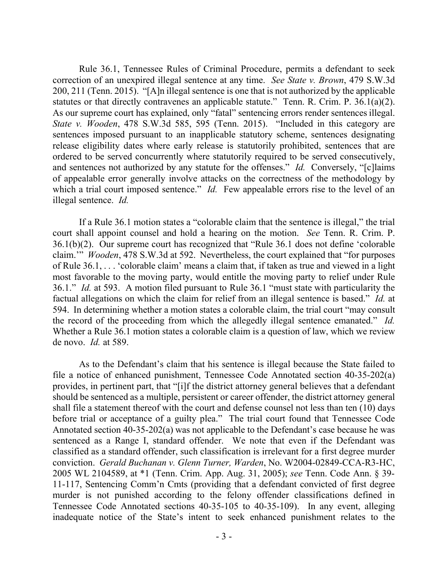Rule 36.1, Tennessee Rules of Criminal Procedure, permits a defendant to seek correction of an unexpired illegal sentence at any time. *See State v. Brown*, 479 S.W.3d 200, 211 (Tenn. 2015). "[A]n illegal sentence is one that is not authorized by the applicable statutes or that directly contravenes an applicable statute." Tenn. R. Crim. P. 36.1(a)(2). As our supreme court has explained, only "fatal" sentencing errors render sentences illegal. *State v. Wooden*, 478 S.W.3d 585, 595 (Tenn. 2015). "Included in this category are sentences imposed pursuant to an inapplicable statutory scheme, sentences designating release eligibility dates where early release is statutorily prohibited, sentences that are ordered to be served concurrently where statutorily required to be served consecutively, and sentences not authorized by any statute for the offenses." *Id.* Conversely, "[c]laims of appealable error generally involve attacks on the correctness of the methodology by which a trial court imposed sentence." *Id.* Few appealable errors rise to the level of an illegal sentence. *Id.*

If a Rule 36.1 motion states a "colorable claim that the sentence is illegal," the trial court shall appoint counsel and hold a hearing on the motion. *See* Tenn. R. Crim. P. 36.1(b)(2). Our supreme court has recognized that "Rule 36.1 does not define 'colorable claim.'" *Wooden*, 478 S.W.3d at 592. Nevertheless, the court explained that "for purposes of Rule 36.1, . . . 'colorable claim' means a claim that, if taken as true and viewed in a light most favorable to the moving party, would entitle the moving party to relief under Rule 36.1." *Id.* at 593. A motion filed pursuant to Rule 36.1 "must state with particularity the factual allegations on which the claim for relief from an illegal sentence is based." *Id.* at 594. In determining whether a motion states a colorable claim, the trial court "may consult the record of the proceeding from which the allegedly illegal sentence emanated." *Id.* Whether a Rule 36.1 motion states a colorable claim is a question of law, which we review de novo. *Id.* at 589.

As to the Defendant's claim that his sentence is illegal because the State failed to file a notice of enhanced punishment, Tennessee Code Annotated section 40-35-202(a) provides, in pertinent part, that "[i]f the district attorney general believes that a defendant should be sentenced as a multiple, persistent or career offender, the district attorney general shall file a statement thereof with the court and defense counsel not less than ten (10) days before trial or acceptance of a guilty plea." The trial court found that Tennessee Code Annotated section 40-35-202(a) was not applicable to the Defendant's case because he was sentenced as a Range I, standard offender. We note that even if the Defendant was classified as a standard offender, such classification is irrelevant for a first degree murder conviction. *Gerald Buchanan v. Glenn Turner, Warden*, No. W2004-02849-CCA-R3-HC, 2005 WL 2104589, at \*1 (Tenn. Crim. App. Aug. 31, 2005); *see* Tenn. Code Ann. § 39- 11-117, Sentencing Comm'n Cmts (providing that a defendant convicted of first degree murder is not punished according to the felony offender classifications defined in Tennessee Code Annotated sections 40-35-105 to 40-35-109). In any event, alleging inadequate notice of the State's intent to seek enhanced punishment relates to the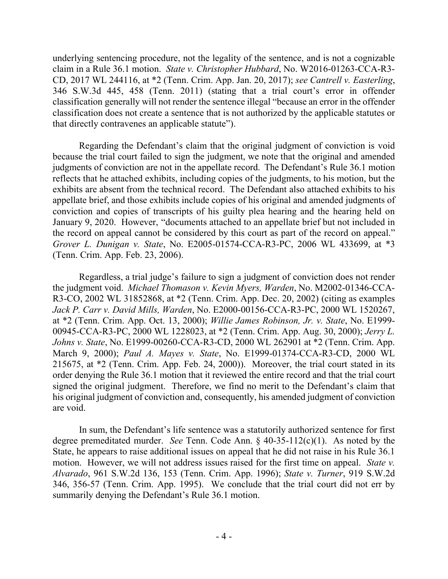underlying sentencing procedure, not the legality of the sentence, and is not a cognizable claim in a Rule 36.1 motion. *State v. Christopher Hubbard*, No. W2016-01263-CCA-R3- CD, 2017 WL 244116, at \*2 (Tenn. Crim. App. Jan. 20, 2017); *see Cantrell v. Easterling*, 346 S.W.3d 445, 458 (Tenn. 2011) (stating that a trial court's error in offender classification generally will not render the sentence illegal "because an error in the offender classification does not create a sentence that is not authorized by the applicable statutes or that directly contravenes an applicable statute").

Regarding the Defendant's claim that the original judgment of conviction is void because the trial court failed to sign the judgment, we note that the original and amended judgments of conviction are not in the appellate record. The Defendant's Rule 36.1 motion reflects that he attached exhibits, including copies of the judgments, to his motion, but the exhibits are absent from the technical record. The Defendant also attached exhibits to his appellate brief, and those exhibits include copies of his original and amended judgments of conviction and copies of transcripts of his guilty plea hearing and the hearing held on January 9, 2020. However, "documents attached to an appellate brief but not included in the record on appeal cannot be considered by this court as part of the record on appeal." *Grover L. Dunigan v. State*, No. E2005-01574-CCA-R3-PC, 2006 WL 433699, at \*3 (Tenn. Crim. App. Feb. 23, 2006).

Regardless, a trial judge's failure to sign a judgment of conviction does not render the judgment void. *Michael Thomason v. Kevin Myers, Warden*, No. M2002-01346-CCA-R3-CO, 2002 WL 31852868, at \*2 (Tenn. Crim. App. Dec. 20, 2002) (citing as examples *Jack P. Carr v. David Mills, Warden*, No. E2000-00156-CCA-R3-PC, 2000 WL 1520267, at \*2 (Tenn. Crim. App. Oct. 13, 2000); *Willie James Robinson, Jr. v. State*, No. E1999- 00945-CCA-R3-PC, 2000 WL 1228023, at \*2 (Tenn. Crim. App. Aug. 30, 2000); *Jerry L. Johns v. State*, No. E1999-00260-CCA-R3-CD, 2000 WL 262901 at \*2 (Tenn. Crim. App. March 9, 2000); *Paul A. Mayes v. State*, No. E1999-01374-CCA-R3-CD, 2000 WL 215675, at \*2 (Tenn. Crim. App. Feb. 24, 2000)). Moreover, the trial court stated in its order denying the Rule 36.1 motion that it reviewed the entire record and that the trial court signed the original judgment. Therefore, we find no merit to the Defendant's claim that his original judgment of conviction and, consequently, his amended judgment of conviction are void.

In sum, the Defendant's life sentence was a statutorily authorized sentence for first degree premeditated murder. *See* Tenn. Code Ann. § 40-35-112(c)(1). As noted by the State, he appears to raise additional issues on appeal that he did not raise in his Rule 36.1 motion. However, we will not address issues raised for the first time on appeal. *State v. Alvarado*, 961 S.W.2d 136, 153 (Tenn. Crim. App. 1996); *State v. Turner*, 919 S.W.2d 346, 356-57 (Tenn. Crim. App. 1995). We conclude that the trial court did not err by summarily denying the Defendant's Rule 36.1 motion.